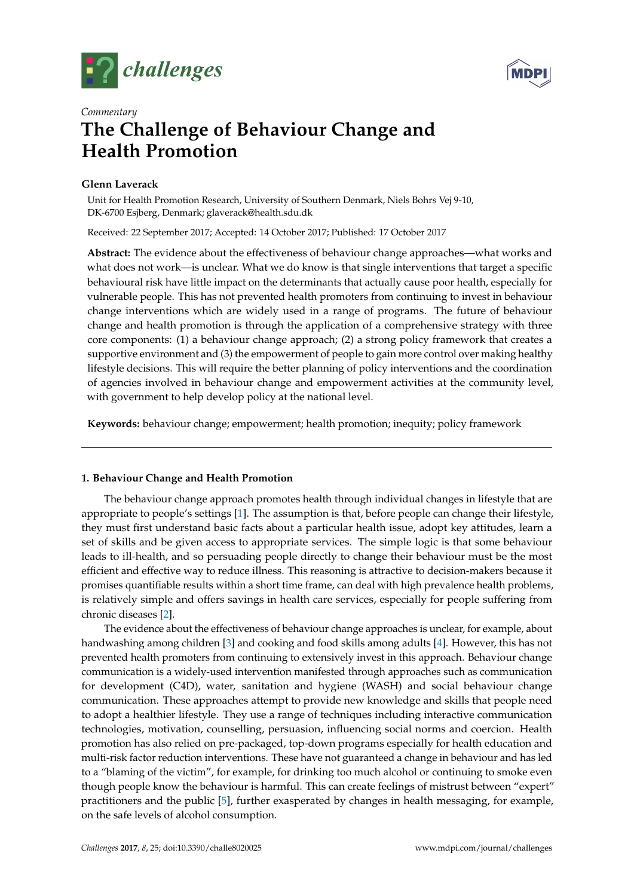



# *Commentary* **The Challenge of Behaviour Change and Health Promotion**

# **Glenn Laverack**

Unit for Health Promotion Research, University of Southern Denmark, Niels Bohrs Vej 9-10, DK-6700 Esjberg, Denmark; glaverack@health.sdu.dk

Received: 22 September 2017; Accepted: 14 October 2017; Published: 17 October 2017

**Abstract:** The evidence about the effectiveness of behaviour change approaches—what works and what does not work—is unclear. What we do know is that single interventions that target a specific behavioural risk have little impact on the determinants that actually cause poor health, especially for vulnerable people. This has not prevented health promoters from continuing to invest in behaviour change interventions which are widely used in a range of programs. The future of behaviour change and health promotion is through the application of a comprehensive strategy with three core components: (1) a behaviour change approach; (2) a strong policy framework that creates a supportive environment and (3) the empowerment of people to gain more control over making healthy lifestyle decisions. This will require the better planning of policy interventions and the coordination of agencies involved in behaviour change and empowerment activities at the community level, with government to help develop policy at the national level.

**Keywords:** behaviour change; empowerment; health promotion; inequity; policy framework

## **1. Behaviour Change and Health Promotion**

The behaviour change approach promotes health through individual changes in lifestyle that are appropriate to people's settings [\[1\]](#page-2-0). The assumption is that, before people can change their lifestyle, they must first understand basic facts about a particular health issue, adopt key attitudes, learn a set of skills and be given access to appropriate services. The simple logic is that some behaviour leads to ill-health, and so persuading people directly to change their behaviour must be the most efficient and effective way to reduce illness. This reasoning is attractive to decision-makers because it promises quantifiable results within a short time frame, can deal with high prevalence health problems, is relatively simple and offers savings in health care services, especially for people suffering from chronic diseases [\[2\]](#page-2-1).

The evidence about the effectiveness of behaviour change approaches is unclear, for example, about handwashing among children [\[3\]](#page-2-2) and cooking and food skills among adults [\[4\]](#page-2-3). However, this has not prevented health promoters from continuing to extensively invest in this approach. Behaviour change communication is a widely-used intervention manifested through approaches such as communication for development (C4D), water, sanitation and hygiene (WASH) and social behaviour change communication. These approaches attempt to provide new knowledge and skills that people need to adopt a healthier lifestyle. They use a range of techniques including interactive communication technologies, motivation, counselling, persuasion, influencing social norms and coercion. Health promotion has also relied on pre-packaged, top-down programs especially for health education and multi-risk factor reduction interventions. These have not guaranteed a change in behaviour and has led to a "blaming of the victim", for example, for drinking too much alcohol or continuing to smoke even though people know the behaviour is harmful. This can create feelings of mistrust between "expert" practitioners and the public [\[5\]](#page-2-4), further exasperated by changes in health messaging, for example, on the safe levels of alcohol consumption.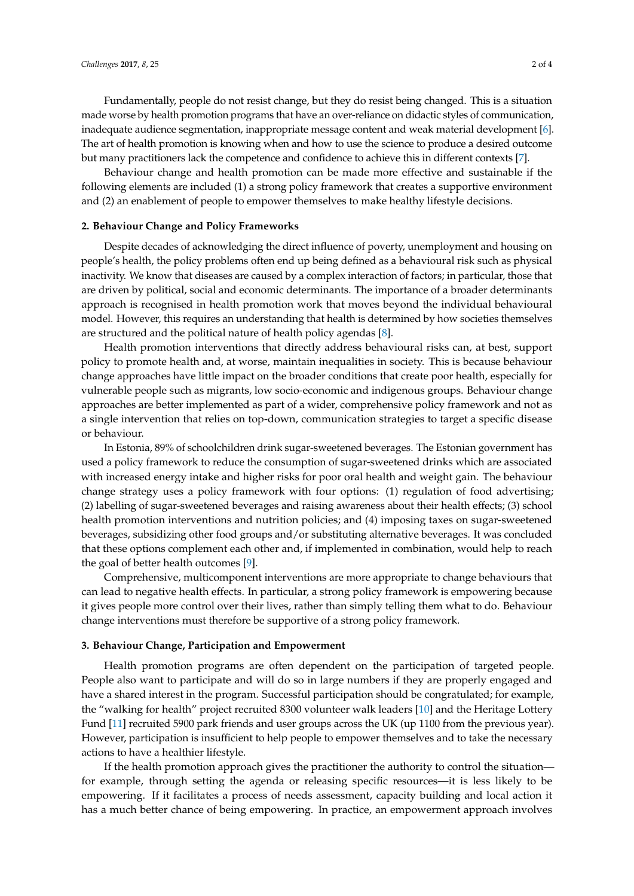Fundamentally, people do not resist change, but they do resist being changed. This is a situation made worse by health promotion programs that have an over-reliance on didactic styles of communication, inadequate audience segmentation, inappropriate message content and weak material development [\[6\]](#page-2-5). The art of health promotion is knowing when and how to use the science to produce a desired outcome but many practitioners lack the competence and confidence to achieve this in different contexts [\[7\]](#page-3-0).

Behaviour change and health promotion can be made more effective and sustainable if the following elements are included (1) a strong policy framework that creates a supportive environment and (2) an enablement of people to empower themselves to make healthy lifestyle decisions.

## **2. Behaviour Change and Policy Frameworks**

Despite decades of acknowledging the direct influence of poverty, unemployment and housing on people's health, the policy problems often end up being defined as a behavioural risk such as physical inactivity. We know that diseases are caused by a complex interaction of factors; in particular, those that are driven by political, social and economic determinants. The importance of a broader determinants approach is recognised in health promotion work that moves beyond the individual behavioural model. However, this requires an understanding that health is determined by how societies themselves are structured and the political nature of health policy agendas [\[8\]](#page-3-1).

Health promotion interventions that directly address behavioural risks can, at best, support policy to promote health and, at worse, maintain inequalities in society. This is because behaviour change approaches have little impact on the broader conditions that create poor health, especially for vulnerable people such as migrants, low socio-economic and indigenous groups. Behaviour change approaches are better implemented as part of a wider, comprehensive policy framework and not as a single intervention that relies on top-down, communication strategies to target a specific disease or behaviour.

In Estonia, 89% of schoolchildren drink sugar-sweetened beverages. The Estonian government has used a policy framework to reduce the consumption of sugar-sweetened drinks which are associated with increased energy intake and higher risks for poor oral health and weight gain. The behaviour change strategy uses a policy framework with four options: (1) regulation of food advertising; (2) labelling of sugar-sweetened beverages and raising awareness about their health effects; (3) school health promotion interventions and nutrition policies; and (4) imposing taxes on sugar-sweetened beverages, subsidizing other food groups and/or substituting alternative beverages. It was concluded that these options complement each other and, if implemented in combination, would help to reach the goal of better health outcomes [\[9\]](#page-3-2).

Comprehensive, multicomponent interventions are more appropriate to change behaviours that can lead to negative health effects. In particular, a strong policy framework is empowering because it gives people more control over their lives, rather than simply telling them what to do. Behaviour change interventions must therefore be supportive of a strong policy framework.

#### **3. Behaviour Change, Participation and Empowerment**

Health promotion programs are often dependent on the participation of targeted people. People also want to participate and will do so in large numbers if they are properly engaged and have a shared interest in the program. Successful participation should be congratulated; for example, the "walking for health" project recruited 8300 volunteer walk leaders [\[10\]](#page-3-3) and the Heritage Lottery Fund [\[11\]](#page-3-4) recruited 5900 park friends and user groups across the UK (up 1100 from the previous year). However, participation is insufficient to help people to empower themselves and to take the necessary actions to have a healthier lifestyle.

If the health promotion approach gives the practitioner the authority to control the situation for example, through setting the agenda or releasing specific resources—it is less likely to be empowering. If it facilitates a process of needs assessment, capacity building and local action it has a much better chance of being empowering. In practice, an empowerment approach involves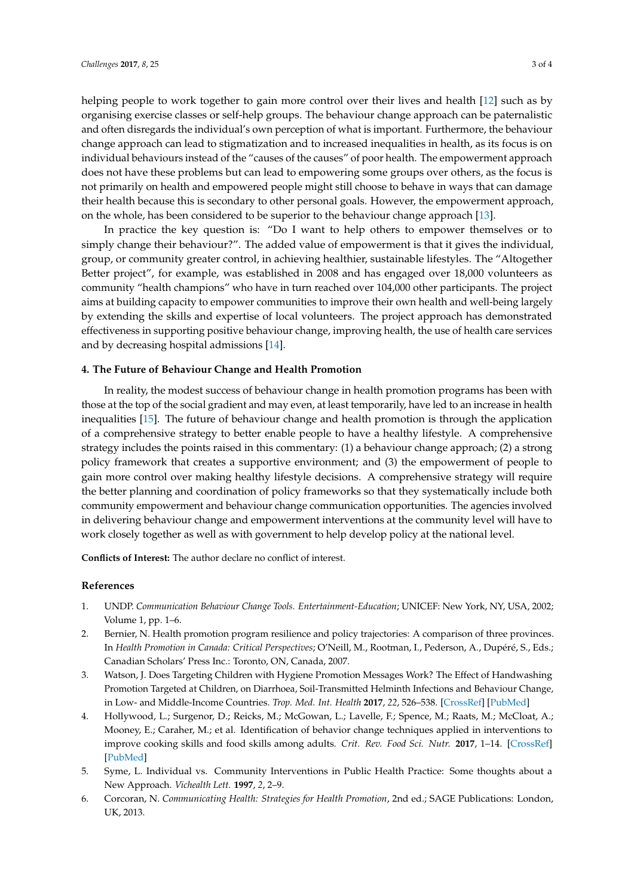helping people to work together to gain more control over their lives and health [\[12\]](#page-3-5) such as by organising exercise classes or self-help groups. The behaviour change approach can be paternalistic and often disregards the individual's own perception of what is important. Furthermore, the behaviour change approach can lead to stigmatization and to increased inequalities in health, as its focus is on individual behaviours instead of the "causes of the causes" of poor health. The empowerment approach does not have these problems but can lead to empowering some groups over others, as the focus is not primarily on health and empowered people might still choose to behave in ways that can damage their health because this is secondary to other personal goals. However, the empowerment approach, on the whole, has been considered to be superior to the behaviour change approach [\[13\]](#page-3-6).

In practice the key question is: "Do I want to help others to empower themselves or to simply change their behaviour?". The added value of empowerment is that it gives the individual, group, or community greater control, in achieving healthier, sustainable lifestyles. The "Altogether Better project", for example, was established in 2008 and has engaged over 18,000 volunteers as community "health champions" who have in turn reached over 104,000 other participants. The project aims at building capacity to empower communities to improve their own health and well-being largely by extending the skills and expertise of local volunteers. The project approach has demonstrated effectiveness in supporting positive behaviour change, improving health, the use of health care services and by decreasing hospital admissions [\[14\]](#page-3-7).

#### **4. The Future of Behaviour Change and Health Promotion**

In reality, the modest success of behaviour change in health promotion programs has been with those at the top of the social gradient and may even, at least temporarily, have led to an increase in health inequalities [\[15\]](#page-3-8). The future of behaviour change and health promotion is through the application of a comprehensive strategy to better enable people to have a healthy lifestyle. A comprehensive strategy includes the points raised in this commentary: (1) a behaviour change approach; (2) a strong policy framework that creates a supportive environment; and (3) the empowerment of people to gain more control over making healthy lifestyle decisions. A comprehensive strategy will require the better planning and coordination of policy frameworks so that they systematically include both community empowerment and behaviour change communication opportunities. The agencies involved in delivering behaviour change and empowerment interventions at the community level will have to work closely together as well as with government to help develop policy at the national level.

**Conflicts of Interest:** The author declare no conflict of interest.

### **References**

- <span id="page-2-0"></span>1. UNDP. *Communication Behaviour Change Tools. Entertainment-Education*; UNICEF: New York, NY, USA, 2002; Volume 1, pp. 1–6.
- <span id="page-2-1"></span>2. Bernier, N. Health promotion program resilience and policy trajectories: A comparison of three provinces. In *Health Promotion in Canada: Critical Perspectives*; O'Neill, M., Rootman, I., Pederson, A., Dupéré, S., Eds.; Canadian Scholars' Press Inc.: Toronto, ON, Canada, 2007.
- <span id="page-2-2"></span>3. Watson, J. Does Targeting Children with Hygiene Promotion Messages Work? The Effect of Handwashing Promotion Targeted at Children, on Diarrhoea, Soil-Transmitted Helminth Infections and Behaviour Change, in Low- and Middle-Income Countries. *Trop. Med. Int. Health* **2017**, *22*, 526–538. [\[CrossRef\]](http://dx.doi.org/10.1111/tmi.12861) [\[PubMed\]](http://www.ncbi.nlm.nih.gov/pubmed/28244191)
- <span id="page-2-3"></span>4. Hollywood, L.; Surgenor, D.; Reicks, M.; McGowan, L.; Lavelle, F.; Spence, M.; Raats, M.; McCloat, A.; Mooney, E.; Caraher, M.; et al. Identification of behavior change techniques applied in interventions to improve cooking skills and food skills among adults. *Crit. Rev. Food Sci. Nutr.* **2017**, 1–14. [\[CrossRef\]](http://dx.doi.org/10.1080/10408398.2017.1344613) [\[PubMed\]](http://www.ncbi.nlm.nih.gov/pubmed/28678613)
- <span id="page-2-4"></span>5. Syme, L. Individual vs. Community Interventions in Public Health Practice: Some thoughts about a New Approach. *Vichealth Lett.* **1997**, *2*, 2–9.
- <span id="page-2-5"></span>6. Corcoran, N. *Communicating Health: Strategies for Health Promotion*, 2nd ed.; SAGE Publications: London, UK, 2013.